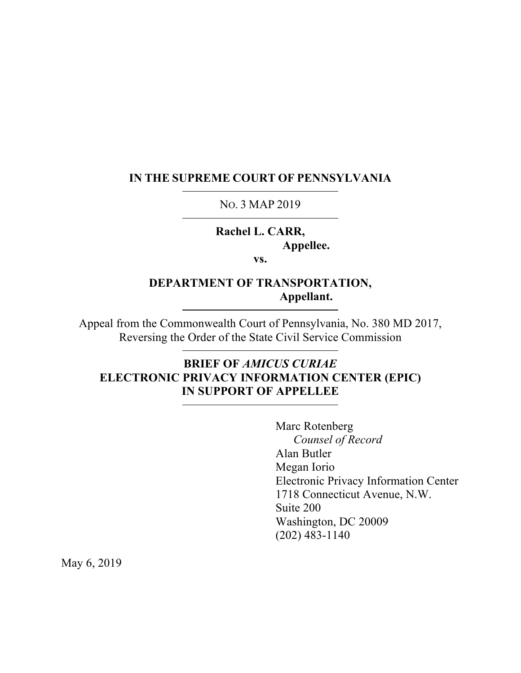#### **IN THE SUPREME COURT OF PENNSYLVANIA**

#### NO. 3 MAP 2019

# **Rachel L. CARR, Appellee.**

**vs.**

## **DEPARTMENT OF TRANSPORTATION, Appellant.**

Appeal from the Commonwealth Court of Pennsylvania, No. 380 MD 2017, Reversing the Order of the State Civil Service Commission

## **BRIEF OF** *AMICUS CURIAE*  **ELECTRONIC PRIVACY INFORMATION CENTER (EPIC) IN SUPPORT OF APPELLEE**

Marc Rotenberg *Counsel of Record* Alan Butler Megan Iorio Electronic Privacy Information Center 1718 Connecticut Avenue, N.W. Suite 200 Washington, DC 20009 (202) 483-1140

May 6, 2019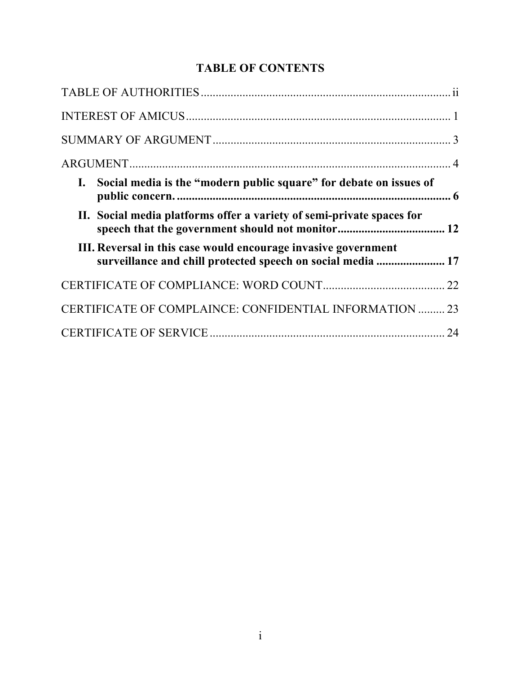# **TABLE OF CONTENTS**

| I. Social media is the "modern public square" for debate on issues of                                                         |
|-------------------------------------------------------------------------------------------------------------------------------|
| II. Social media platforms offer a variety of semi-private spaces for                                                         |
| III. Reversal in this case would encourage invasive government<br>surveillance and chill protected speech on social media  17 |
|                                                                                                                               |
| CERTIFICATE OF COMPLAINCE: CONFIDENTIAL INFORMATION  23                                                                       |
|                                                                                                                               |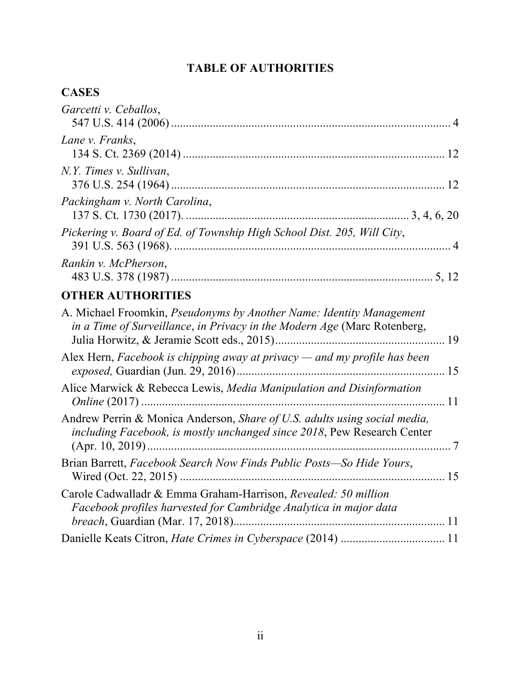# **TABLE OF AUTHORITIES**

# **CASES**

| Garcetti v. Ceballos,                                                                                                                                        |  |
|--------------------------------------------------------------------------------------------------------------------------------------------------------------|--|
| Lane v. Franks,                                                                                                                                              |  |
| N.Y. Times v. Sullivan,                                                                                                                                      |  |
| Packingham v. North Carolina,                                                                                                                                |  |
| Pickering v. Board of Ed. of Township High School Dist. 205, Will City,                                                                                      |  |
| Rankin v. McPherson,                                                                                                                                         |  |
| <b>OTHER AUTHORITIES</b>                                                                                                                                     |  |
| A. Michael Froomkin, <i>Pseudonyms by Another Name: Identity Management</i><br>in a Time of Surveillance, in Privacy in the Modern Age (Marc Rotenberg,      |  |
| Alex Hern, Facebook is chipping away at privacy — and my profile has been                                                                                    |  |
| Alice Marwick & Rebecca Lewis, Media Manipulation and Disinformation                                                                                         |  |
| Andrew Perrin & Monica Anderson, <i>Share of U.S. adults using social media</i> ,<br>including Facebook, is mostly unchanged since 2018, Pew Research Center |  |
| Brian Barrett, Facebook Search Now Finds Public Posts—So Hide Yours,                                                                                         |  |
| Carole Cadwalladr & Emma Graham-Harrison, Revealed: 50 million<br>Facebook profiles harvested for Cambridge Analytica in major data                          |  |
| Danielle Keats Citron, Hate Crimes in Cyberspace (2014)  11                                                                                                  |  |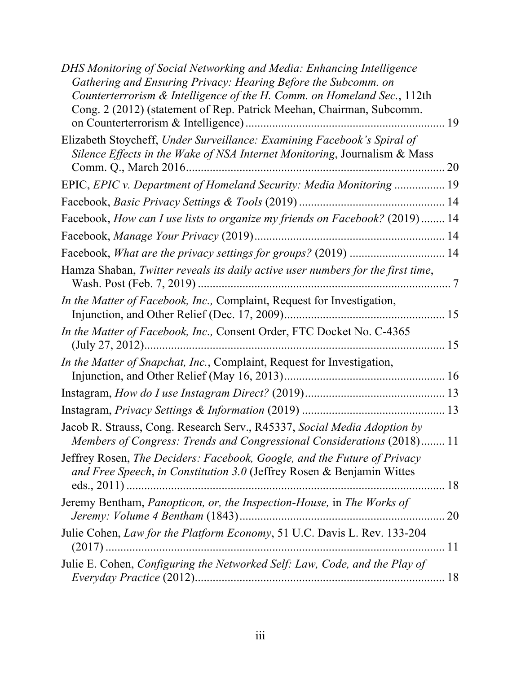| DHS Monitoring of Social Networking and Media: Enhancing Intelligence<br>Gathering and Ensuring Privacy: Hearing Before the Subcomm. on<br>Counterterrorism & Intelligence of the H. Comm. on Homeland Sec., 112th |
|--------------------------------------------------------------------------------------------------------------------------------------------------------------------------------------------------------------------|
| Cong. 2 (2012) (statement of Rep. Patrick Meehan, Chairman, Subcomm.                                                                                                                                               |
| Elizabeth Stoycheff, Under Surveillance: Examining Facebook's Spiral of<br>Silence Effects in the Wake of NSA Internet Monitoring, Journalism & Mass                                                               |
| EPIC, EPIC v. Department of Homeland Security: Media Monitoring  19                                                                                                                                                |
|                                                                                                                                                                                                                    |
| Facebook, How can I use lists to organize my friends on Facebook? (2019)  14                                                                                                                                       |
|                                                                                                                                                                                                                    |
| Facebook, What are the privacy settings for groups? (2019)  14                                                                                                                                                     |
| Hamza Shaban, Twitter reveals its daily active user numbers for the first time,                                                                                                                                    |
| <i>In the Matter of Facebook, Inc., Complaint, Request for Investigation,</i>                                                                                                                                      |
| In the Matter of Facebook, Inc., Consent Order, FTC Docket No. C-4365                                                                                                                                              |
| In the Matter of Snapchat, Inc., Complaint, Request for Investigation,                                                                                                                                             |
|                                                                                                                                                                                                                    |
|                                                                                                                                                                                                                    |
| Jacob R. Strauss, Cong. Research Serv., R45337, Social Media Adoption by<br>Members of Congress: Trends and Congressional Considerations (2018) 11                                                                 |
| Jeffrey Rosen, The Deciders: Facebook, Google, and the Future of Privacy<br>and Free Speech, in Constitution 3.0 (Jeffrey Rosen & Benjamin Wittes                                                                  |
| Jeremy Bentham, Panopticon, or, the Inspection-House, in The Works of<br>20                                                                                                                                        |
| Julie Cohen, Law for the Platform Economy, 51 U.C. Davis L. Rev. 133-204                                                                                                                                           |
| Julie E. Cohen, Configuring the Networked Self: Law, Code, and the Play of                                                                                                                                         |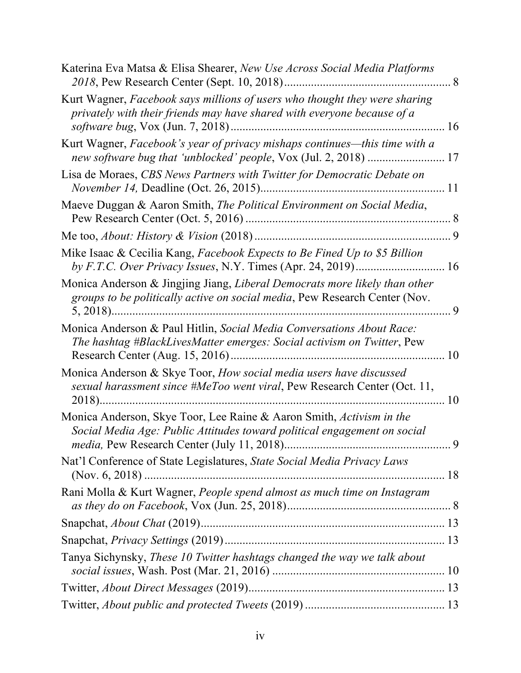| Katerina Eva Matsa & Elisa Shearer, New Use Across Social Media Platforms                                                                                |  |
|----------------------------------------------------------------------------------------------------------------------------------------------------------|--|
| Kurt Wagner, Facebook says millions of users who thought they were sharing<br>privately with their friends may have shared with everyone because of a    |  |
| Kurt Wagner, Facebook's year of privacy mishaps continues—this time with a                                                                               |  |
| Lisa de Moraes, CBS News Partners with Twitter for Democratic Debate on                                                                                  |  |
| Maeve Duggan & Aaron Smith, The Political Environment on Social Media,                                                                                   |  |
|                                                                                                                                                          |  |
| Mike Isaac & Cecilia Kang, Facebook Expects to Be Fined Up to \$5 Billion                                                                                |  |
| Monica Anderson & Jingjing Jiang, Liberal Democrats more likely than other<br>groups to be politically active on social media, Pew Research Center (Nov. |  |
| Monica Anderson & Paul Hitlin, Social Media Conversations About Race:<br>The hashtag #BlackLivesMatter emerges: Social activism on Twitter, Pew          |  |
| Monica Anderson & Skye Toor, How social media users have discussed<br>sexual harassment since #MeToo went viral, Pew Research Center (Oct. 11,           |  |
| Monica Anderson, Skye Toor, Lee Raine & Aaron Smith, Activism in the<br>Social Media Age: Public Attitudes toward political engagement on social         |  |
| Nat'l Conference of State Legislatures, State Social Media Privacy Laws                                                                                  |  |
| Rani Molla & Kurt Wagner, People spend almost as much time on Instagram                                                                                  |  |
|                                                                                                                                                          |  |
|                                                                                                                                                          |  |
| Tanya Sichynsky, These 10 Twitter hashtags changed the way we talk about                                                                                 |  |
|                                                                                                                                                          |  |
|                                                                                                                                                          |  |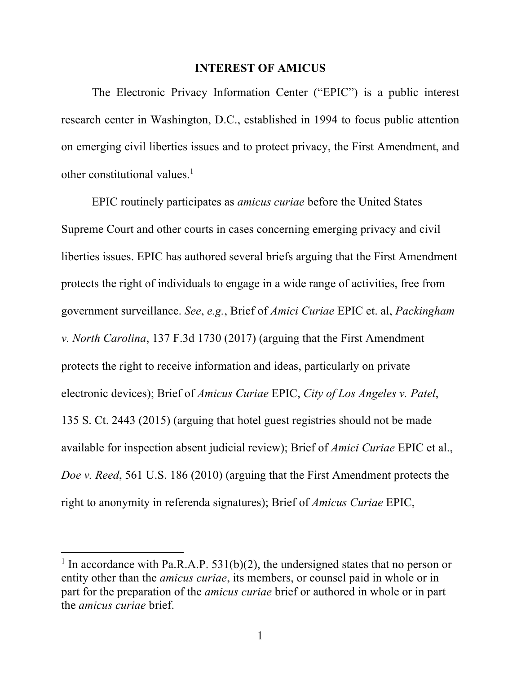#### **INTEREST OF AMICUS**

The Electronic Privacy Information Center ("EPIC") is a public interest research center in Washington, D.C., established in 1994 to focus public attention on emerging civil liberties issues and to protect privacy, the First Amendment, and other constitutional values. $<sup>1</sup>$ </sup>

EPIC routinely participates as *amicus curiae* before the United States Supreme Court and other courts in cases concerning emerging privacy and civil liberties issues. EPIC has authored several briefs arguing that the First Amendment protects the right of individuals to engage in a wide range of activities, free from government surveillance. *See*, *e.g.*, Brief of *Amici Curiae* EPIC et. al, *Packingham v. North Carolina*, 137 F.3d 1730 (2017) (arguing that the First Amendment protects the right to receive information and ideas, particularly on private electronic devices); Brief of *Amicus Curiae* EPIC, *City of Los Angeles v. Patel*, 135 S. Ct. 2443 (2015) (arguing that hotel guest registries should not be made available for inspection absent judicial review); Brief of *Amici Curiae* EPIC et al., *Doe v. Reed*, 561 U.S. 186 (2010) (arguing that the First Amendment protects the right to anonymity in referenda signatures); Brief of *Amicus Curiae* EPIC,

<sup>&</sup>lt;sup>1</sup> In accordance with Pa.R.A.P. 531(b)(2), the undersigned states that no person or entity other than the *amicus curiae*, its members, or counsel paid in whole or in part for the preparation of the *amicus curiae* brief or authored in whole or in part the *amicus curiae* brief.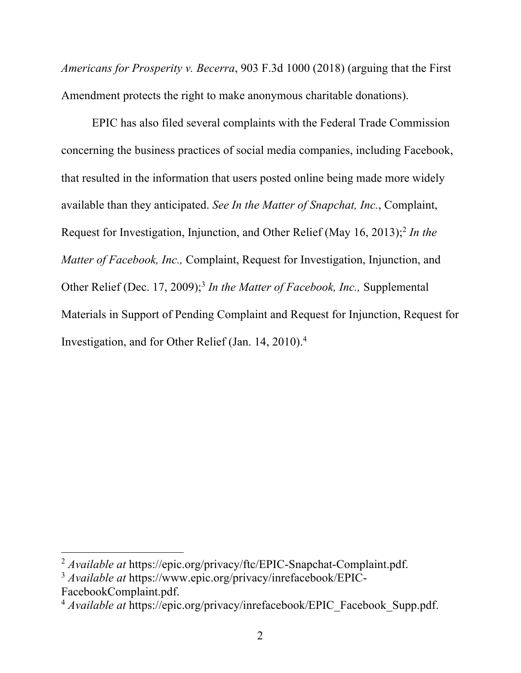*Americans for Prosperity v. Becerra*, 903 F.3d 1000 (2018) (arguing that the First Amendment protects the right to make anonymous charitable donations).

EPIC has also filed several complaints with the Federal Trade Commission concerning the business practices of social media companies, including Facebook, that resulted in the information that users posted online being made more widely available than they anticipated. *See In the Matter of Snapchat, Inc.*, Complaint, Request for Investigation, Injunction, and Other Relief (May 16, 2013);<sup>2</sup> In the *Matter of Facebook, Inc.,* Complaint, Request for Investigation, Injunction, and Other Relief (Dec. 17, 2009); <sup>3</sup> *In the Matter of Facebook, Inc.,* Supplemental Materials in Support of Pending Complaint and Request for Injunction, Request for Investigation, and for Other Relief (Jan. 14, 2010). 4

<sup>2</sup> *Available at* https://epic.org/privacy/ftc/EPIC-Snapchat-Complaint.pdf.

<sup>3</sup> *Available at* https://www.epic.org/privacy/inrefacebook/EPIC-FacebookComplaint.pdf.

<sup>4</sup> *Available at* https://epic.org/privacy/inrefacebook/EPIC\_Facebook\_Supp.pdf.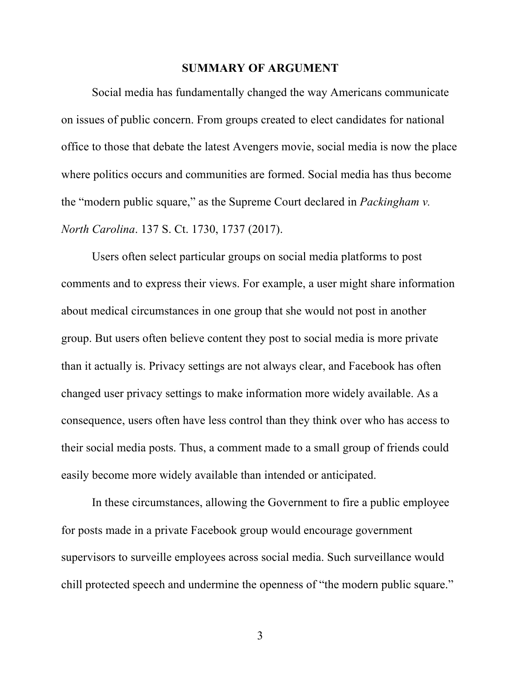#### **SUMMARY OF ARGUMENT**

Social media has fundamentally changed the way Americans communicate on issues of public concern. From groups created to elect candidates for national office to those that debate the latest Avengers movie, social media is now the place where politics occurs and communities are formed. Social media has thus become the "modern public square," as the Supreme Court declared in *Packingham v. North Carolina*. 137 S. Ct. 1730, 1737 (2017).

Users often select particular groups on social media platforms to post comments and to express their views. For example, a user might share information about medical circumstances in one group that she would not post in another group. But users often believe content they post to social media is more private than it actually is. Privacy settings are not always clear, and Facebook has often changed user privacy settings to make information more widely available. As a consequence, users often have less control than they think over who has access to their social media posts. Thus, a comment made to a small group of friends could easily become more widely available than intended or anticipated.

In these circumstances, allowing the Government to fire a public employee for posts made in a private Facebook group would encourage government supervisors to surveille employees across social media. Such surveillance would chill protected speech and undermine the openness of "the modern public square."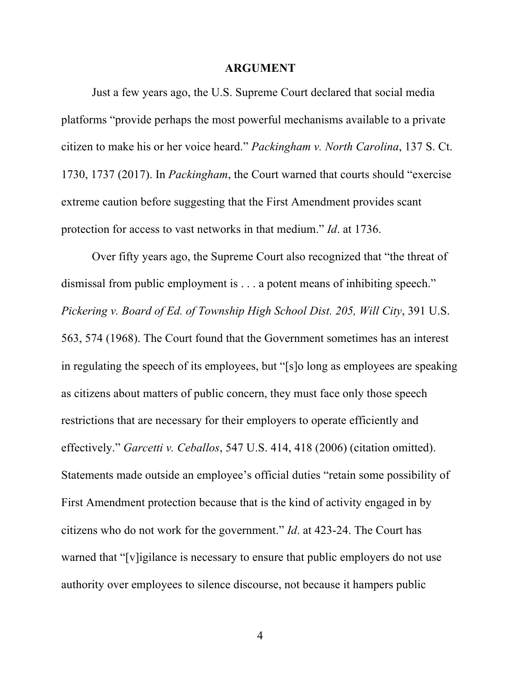#### **ARGUMENT**

Just a few years ago, the U.S. Supreme Court declared that social media platforms "provide perhaps the most powerful mechanisms available to a private citizen to make his or her voice heard." *Packingham v. North Carolina*, 137 S. Ct. 1730, 1737 (2017). In *Packingham*, the Court warned that courts should "exercise extreme caution before suggesting that the First Amendment provides scant protection for access to vast networks in that medium." *Id*. at 1736.

Over fifty years ago, the Supreme Court also recognized that "the threat of dismissal from public employment is . . . a potent means of inhibiting speech." *Pickering v. Board of Ed. of Township High School Dist. 205, Will City*, 391 U.S. 563, 574 (1968). The Court found that the Government sometimes has an interest in regulating the speech of its employees, but "[s]o long as employees are speaking as citizens about matters of public concern, they must face only those speech restrictions that are necessary for their employers to operate efficiently and effectively." *Garcetti v. Ceballos*, 547 U.S. 414, 418 (2006) (citation omitted). Statements made outside an employee's official duties "retain some possibility of First Amendment protection because that is the kind of activity engaged in by citizens who do not work for the government." *Id*. at 423-24. The Court has warned that "[v]igilance is necessary to ensure that public employers do not use authority over employees to silence discourse, not because it hampers public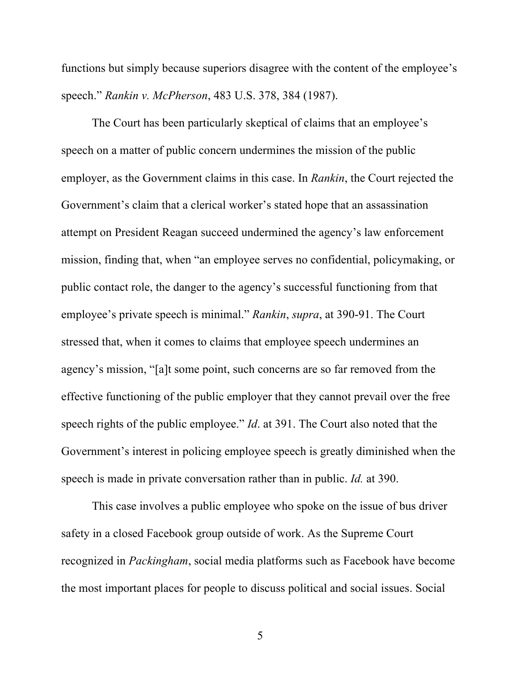functions but simply because superiors disagree with the content of the employee's speech." *Rankin v. McPherson*, 483 U.S. 378, 384 (1987).

The Court has been particularly skeptical of claims that an employee's speech on a matter of public concern undermines the mission of the public employer, as the Government claims in this case. In *Rankin*, the Court rejected the Government's claim that a clerical worker's stated hope that an assassination attempt on President Reagan succeed undermined the agency's law enforcement mission, finding that, when "an employee serves no confidential, policymaking, or public contact role, the danger to the agency's successful functioning from that employee's private speech is minimal." *Rankin*, *supra*, at 390-91. The Court stressed that, when it comes to claims that employee speech undermines an agency's mission, "[a]t some point, such concerns are so far removed from the effective functioning of the public employer that they cannot prevail over the free speech rights of the public employee." *Id*. at 391. The Court also noted that the Government's interest in policing employee speech is greatly diminished when the speech is made in private conversation rather than in public. *Id.* at 390.

This case involves a public employee who spoke on the issue of bus driver safety in a closed Facebook group outside of work. As the Supreme Court recognized in *Packingham*, social media platforms such as Facebook have become the most important places for people to discuss political and social issues. Social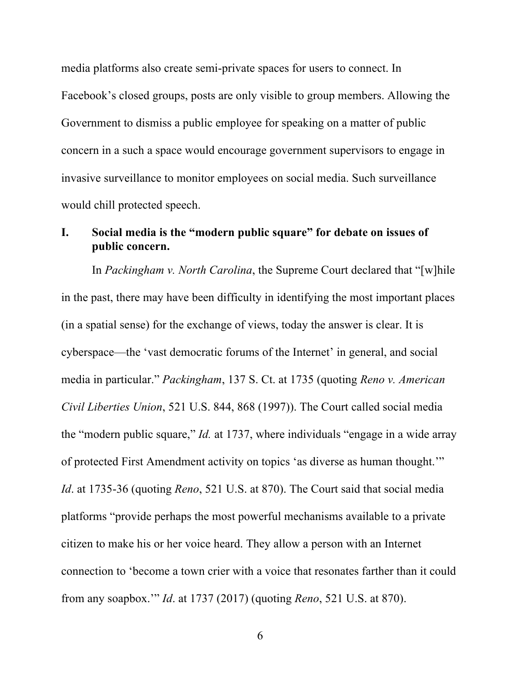media platforms also create semi-private spaces for users to connect. In Facebook's closed groups, posts are only visible to group members. Allowing the Government to dismiss a public employee for speaking on a matter of public concern in a such a space would encourage government supervisors to engage in invasive surveillance to monitor employees on social media. Such surveillance would chill protected speech.

### **I. Social media is the "modern public square" for debate on issues of public concern.**

In *Packingham v. North Carolina*, the Supreme Court declared that "[w]hile in the past, there may have been difficulty in identifying the most important places (in a spatial sense) for the exchange of views, today the answer is clear. It is cyberspace—the 'vast democratic forums of the Internet' in general, and social media in particular." *Packingham*, 137 S. Ct. at 1735 (quoting *Reno v. American Civil Liberties Union*, 521 U.S. 844, 868 (1997)). The Court called social media the "modern public square," *Id.* at 1737, where individuals "engage in a wide array of protected First Amendment activity on topics 'as diverse as human thought.'" *Id*. at 1735-36 (quoting *Reno*, 521 U.S. at 870). The Court said that social media platforms "provide perhaps the most powerful mechanisms available to a private citizen to make his or her voice heard. They allow a person with an Internet connection to 'become a town crier with a voice that resonates farther than it could from any soapbox.'" *Id*. at 1737 (2017) (quoting *Reno*, 521 U.S. at 870).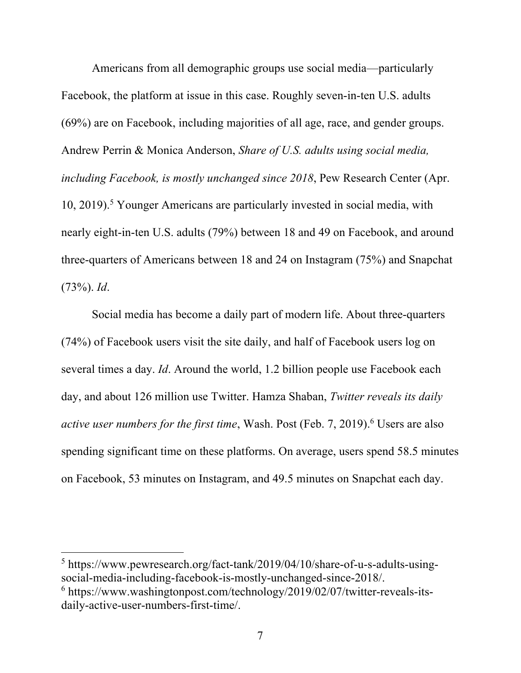Americans from all demographic groups use social media—particularly Facebook, the platform at issue in this case. Roughly seven-in-ten U.S. adults (69%) are on Facebook, including majorities of all age, race, and gender groups. Andrew Perrin & Monica Anderson, *Share of U.S. adults using social media, including Facebook, is mostly unchanged since 2018*, Pew Research Center (Apr. 10, 2019). <sup>5</sup> Younger Americans are particularly invested in social media, with nearly eight-in-ten U.S. adults (79%) between 18 and 49 on Facebook, and around three-quarters of Americans between 18 and 24 on Instagram (75%) and Snapchat (73%). *Id*.

Social media has become a daily part of modern life. About three-quarters (74%) of Facebook users visit the site daily, and half of Facebook users log on several times a day. *Id*. Around the world, 1.2 billion people use Facebook each day, and about 126 million use Twitter. Hamza Shaban, *Twitter reveals its daily active user numbers for the first time*, Wash. Post (Feb. 7, 2019). <sup>6</sup> Users are also spending significant time on these platforms. On average, users spend 58.5 minutes on Facebook, 53 minutes on Instagram, and 49.5 minutes on Snapchat each day.

<sup>5</sup> https://www.pewresearch.org/fact-tank/2019/04/10/share-of-u-s-adults-usingsocial-media-including-facebook-is-mostly-unchanged-since-2018/.  $6$  https://www.washingtonpost.com/technology/2019/02/07/twitter-reveals-its-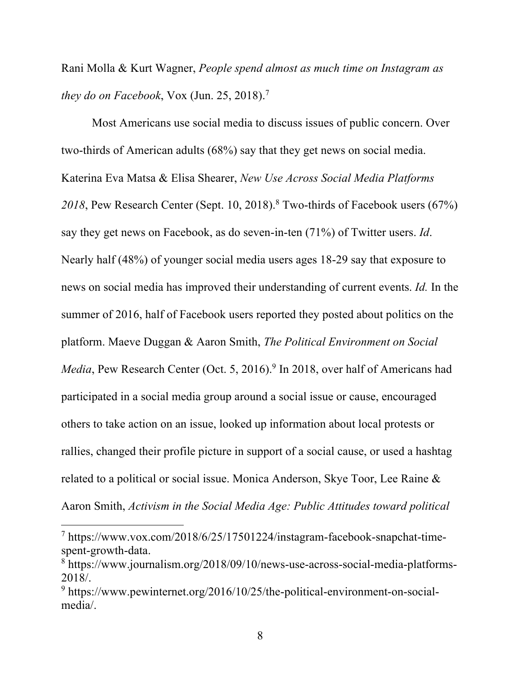Rani Molla & Kurt Wagner, *People spend almost as much time on Instagram as they do on Facebook*, Vox (Jun. 25, 2018). 7

Most Americans use social media to discuss issues of public concern. Over two-thirds of American adults (68%) say that they get news on social media. Katerina Eva Matsa & Elisa Shearer, *New Use Across Social Media Platforms 2018*, Pew Research Center (Sept. 10, 2018). <sup>8</sup> Two-thirds of Facebook users (67%) say they get news on Facebook, as do seven-in-ten (71%) of Twitter users. *Id*. Nearly half (48%) of younger social media users ages 18-29 say that exposure to news on social media has improved their understanding of current events. *Id.* In the summer of 2016, half of Facebook users reported they posted about politics on the platform. Maeve Duggan & Aaron Smith, *The Political Environment on Social Media*, Pew Research Center (Oct. 5, 2016). <sup>9</sup> In 2018, over half of Americans had participated in a social media group around a social issue or cause, encouraged others to take action on an issue, looked up information about local protests or rallies, changed their profile picture in support of a social cause, or used a hashtag related to a political or social issue. Monica Anderson, Skye Toor, Lee Raine & Aaron Smith, *Activism in the Social Media Age: Public Attitudes toward political* 

<sup>7</sup> https://www.vox.com/2018/6/25/17501224/instagram-facebook-snapchat-timespent-growth-data.

<sup>8</sup> https://www.journalism.org/2018/09/10/news-use-across-social-media-platforms-2018/.

<sup>9</sup> https://www.pewinternet.org/2016/10/25/the-political-environment-on-socialmedia/.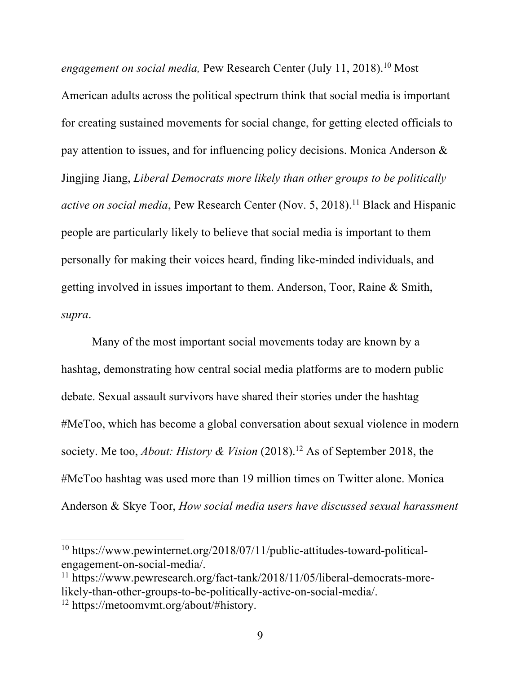*engagement on social media,* Pew Research Center (July 11, 2018). <sup>10</sup> Most American adults across the political spectrum think that social media is important for creating sustained movements for social change, for getting elected officials to pay attention to issues, and for influencing policy decisions. Monica Anderson & Jingjing Jiang, *Liberal Democrats more likely than other groups to be politically active on social media*, Pew Research Center (Nov. 5, 2018). <sup>11</sup> Black and Hispanic people are particularly likely to believe that social media is important to them personally for making their voices heard, finding like-minded individuals, and getting involved in issues important to them. Anderson, Toor, Raine & Smith, *supra*.

Many of the most important social movements today are known by a hashtag, demonstrating how central social media platforms are to modern public debate. Sexual assault survivors have shared their stories under the hashtag #MeToo, which has become a global conversation about sexual violence in modern society. Me too, *About: History & Vision* (2018). <sup>12</sup> As of September 2018, the #MeToo hashtag was used more than 19 million times on Twitter alone. Monica Anderson & Skye Toor, *How social media users have discussed sexual harassment* 

<sup>10</sup> https://www.pewinternet.org/2018/07/11/public-attitudes-toward-politicalengagement-on-social-media/.<br><sup>11</sup> https://www.pewresearch.org/fact-tank/2018/11/05/liberal-democrats-more-

likely-than-other-groups-to-be-politically-active-on-social-media/. 12 https://metoomvmt.org/about/#history.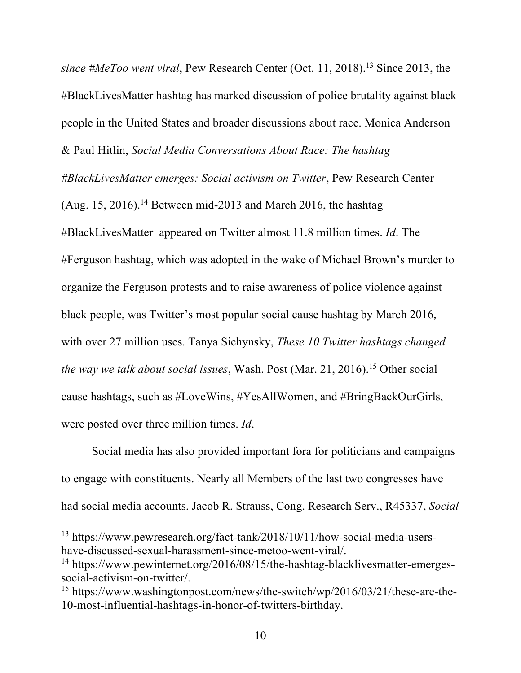*since #MeToo went viral*, Pew Research Center (Oct. 11, 2018). <sup>13</sup> Since 2013, the #BlackLivesMatter hashtag has marked discussion of police brutality against black people in the United States and broader discussions about race. Monica Anderson & Paul Hitlin, *Social Media Conversations About Race: The hashtag* 

*#BlackLivesMatter emerges: Social activism on Twitter*, Pew Research Center

(Aug. 15, 2016).<sup>14</sup> Between mid-2013 and March 2016, the hashtag #BlackLivesMatter appeared on Twitter almost 11.8 million times. *Id*. The #Ferguson hashtag, which was adopted in the wake of Michael Brown's murder to organize the Ferguson protests and to raise awareness of police violence against black people, was Twitter's most popular social cause hashtag by March 2016, with over 27 million uses. Tanya Sichynsky, *These 10 Twitter hashtags changed the way we talk about social issues*, Wash. Post (Mar. 21, 2016). <sup>15</sup> Other social cause hashtags, such as #LoveWins, #YesAllWomen, and #BringBackOurGirls, were posted over three million times. *Id*.

Social media has also provided important fora for politicians and campaigns to engage with constituents. Nearly all Members of the last two congresses have had social media accounts. Jacob R. Strauss, Cong. Research Serv., R45337, *Social* 

<sup>13</sup> https://www.pewresearch.org/fact-tank/2018/10/11/how-social-media-usershave-discussed-sexual-harassment-since-metoo-went-viral/.

<sup>&</sup>lt;sup>14</sup> https://www.pewinternet.org/2016/08/15/the-hashtag-blacklivesmatter-emergessocial-activism-on-twitter/.<br><sup>15</sup> https://www.washingtonpost.com/news/the-switch/wp/2016/03/21/these-are-the-

<sup>10-</sup>most-influential-hashtags-in-honor-of-twitters-birthday.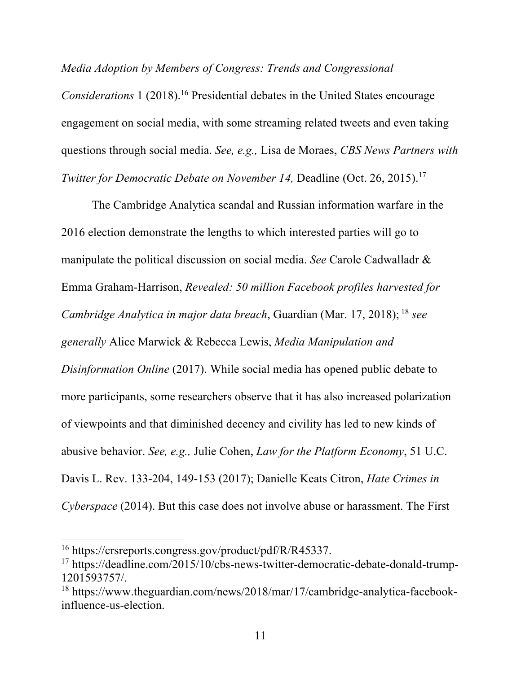*Media Adoption by Members of Congress: Trends and Congressional* 

*Considerations* 1 (2018). <sup>16</sup> Presidential debates in the United States encourage engagement on social media, with some streaming related tweets and even taking questions through social media. *See, e.g.,* Lisa de Moraes, *CBS News Partners with Twitter for Democratic Debate on November 14,* Deadline (Oct. 26, 2015). 17

The Cambridge Analytica scandal and Russian information warfare in the 2016 election demonstrate the lengths to which interested parties will go to manipulate the political discussion on social media. *See* Carole Cadwalladr & Emma Graham-Harrison, *Revealed: 50 million Facebook profiles harvested for Cambridge Analytica in major data breach*, Guardian (Mar. 17, 2018); <sup>18</sup> *see generally* Alice Marwick & Rebecca Lewis, *Media Manipulation and Disinformation Online* (2017). While social media has opened public debate to more participants, some researchers observe that it has also increased polarization of viewpoints and that diminished decency and civility has led to new kinds of abusive behavior. *See, e.g.,* Julie Cohen, *Law for the Platform Economy*, 51 U.C. Davis L. Rev. 133-204, 149-153 (2017); Danielle Keats Citron, *Hate Crimes in Cyberspace* (2014). But this case does not involve abuse or harassment. The First

<sup>16</sup> https://crsreports.congress.gov/product/pdf/R/R45337.

<sup>&</sup>lt;sup>17</sup> https://deadline.com/2015/10/cbs-news-twitter-democratic-debate-donald-trump-1201593757/.

<sup>18</sup> https://www.theguardian.com/news/2018/mar/17/cambridge-analytica-facebookinfluence-us-election.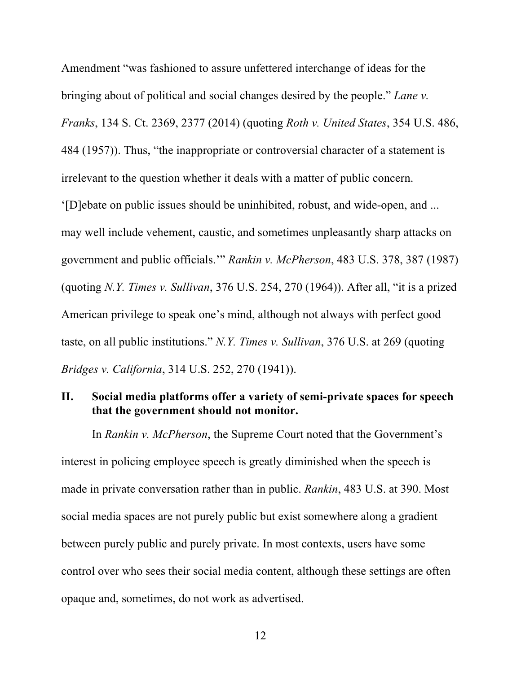Amendment "was fashioned to assure unfettered interchange of ideas for the bringing about of political and social changes desired by the people." *Lane v. Franks*, 134 S. Ct. 2369, 2377 (2014) (quoting *Roth v. United States*, 354 U.S. 486, 484 (1957)). Thus, "the inappropriate or controversial character of a statement is irrelevant to the question whether it deals with a matter of public concern. '[D]ebate on public issues should be uninhibited, robust, and wide-open, and ... may well include vehement, caustic, and sometimes unpleasantly sharp attacks on government and public officials.'" *Rankin v. McPherson*, 483 U.S. 378, 387 (1987) (quoting *N.Y. Times v. Sullivan*, 376 U.S. 254, 270 (1964)). After all, "it is a prized American privilege to speak one's mind, although not always with perfect good

taste, on all public institutions." *N.Y. Times v. Sullivan*, 376 U.S. at 269 (quoting

*Bridges v. California*, 314 U.S. 252, 270 (1941)).

## **II. Social media platforms offer a variety of semi-private spaces for speech that the government should not monitor.**

In *Rankin v. McPherson*, the Supreme Court noted that the Government's interest in policing employee speech is greatly diminished when the speech is made in private conversation rather than in public. *Rankin*, 483 U.S. at 390. Most social media spaces are not purely public but exist somewhere along a gradient between purely public and purely private. In most contexts, users have some control over who sees their social media content, although these settings are often opaque and, sometimes, do not work as advertised.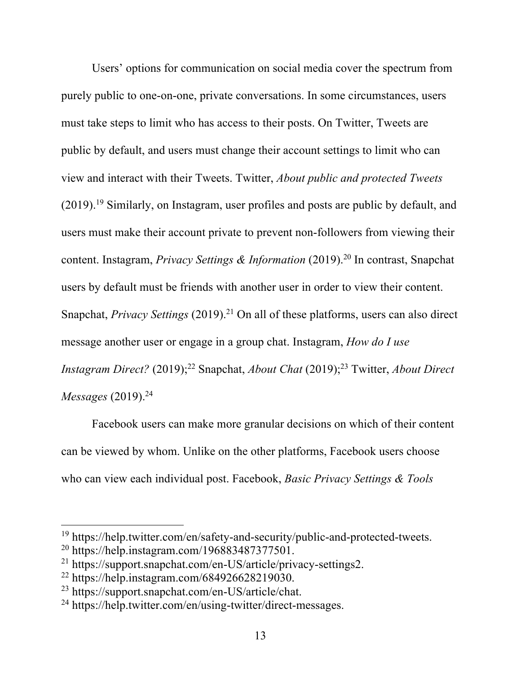Users' options for communication on social media cover the spectrum from purely public to one-on-one, private conversations. In some circumstances, users must take steps to limit who has access to their posts. On Twitter, Tweets are public by default, and users must change their account settings to limit who can view and interact with their Tweets. Twitter, *About public and protected Tweets* (2019).<sup>19</sup> Similarly, on Instagram, user profiles and posts are public by default, and users must make their account private to prevent non-followers from viewing their content. Instagram, *Privacy Settings & Information* (2019). <sup>20</sup> In contrast, Snapchat users by default must be friends with another user in order to view their content. Snapchat, *Privacy Settings* (2019). <sup>21</sup> On all of these platforms, users can also direct message another user or engage in a group chat. Instagram, *How do I use Instagram Direct?* (2019); <sup>22</sup> Snapchat, *About Chat* (2019); <sup>23</sup> Twitter, *About Direct Messages* (2019). 24

Facebook users can make more granular decisions on which of their content can be viewed by whom. Unlike on the other platforms, Facebook users choose who can view each individual post. Facebook, *Basic Privacy Settings & Tools* 

<sup>&</sup>lt;sup>19</sup> https://help.twitter.com/en/safety-and-security/public-and-protected-tweets.<br><sup>20</sup> https://help.instagram.com/196883487377501.

<sup>21</sup> https://support.snapchat.com/en-US/article/privacy-settings2.

 $^{22}$  https://help.instagram.com/684926628219030.

<sup>23</sup> https://support.snapchat.com/en-US/article/chat.

<sup>24</sup> https://help.twitter.com/en/using-twitter/direct-messages.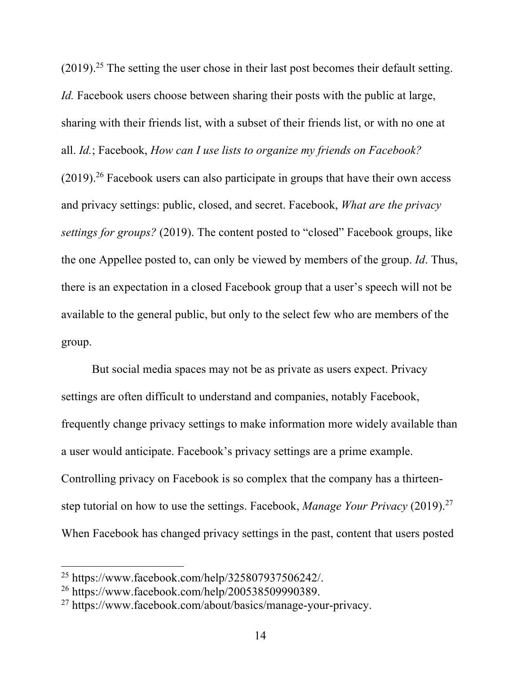$(2019).$ <sup>25</sup> The setting the user chose in their last post becomes their default setting. *Id.* Facebook users choose between sharing their posts with the public at large, sharing with their friends list, with a subset of their friends list, or with no one at all. *Id.*; Facebook, *How can I use lists to organize my friends on Facebook?*   $(2019).<sup>26</sup>$  Facebook users can also participate in groups that have their own access and privacy settings: public, closed, and secret. Facebook, *What are the privacy settings for groups?* (2019). The content posted to "closed" Facebook groups, like the one Appellee posted to, can only be viewed by members of the group. *Id*. Thus, there is an expectation in a closed Facebook group that a user's speech will not be available to the general public, but only to the select few who are members of the group.

But social media spaces may not be as private as users expect. Privacy settings are often difficult to understand and companies, notably Facebook, frequently change privacy settings to make information more widely available than a user would anticipate. Facebook's privacy settings are a prime example. Controlling privacy on Facebook is so complex that the company has a thirteenstep tutorial on how to use the settings. Facebook, *Manage Your Privacy* (2019). 27 When Facebook has changed privacy settings in the past, content that users posted

<sup>&</sup>lt;sup>25</sup> https://www.facebook.com/help/325807937506242/.<br><sup>26</sup> https://www.facebook.com/help/200538509990389.

<sup>27</sup> https://www.facebook.com/about/basics/manage-your-privacy.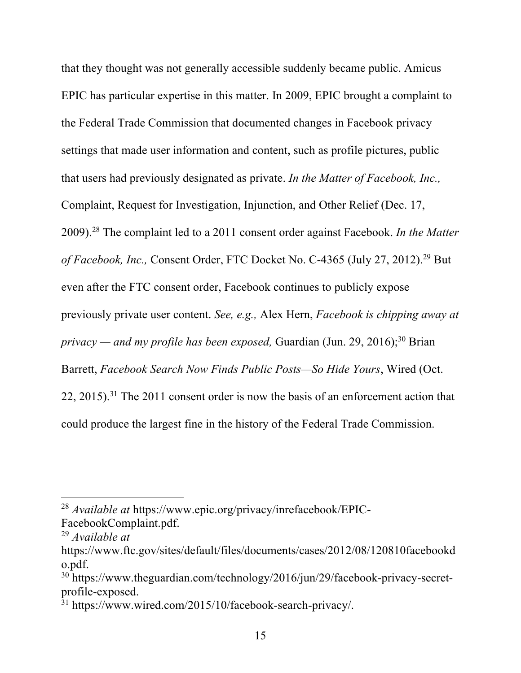that they thought was not generally accessible suddenly became public. Amicus EPIC has particular expertise in this matter. In 2009, EPIC brought a complaint to the Federal Trade Commission that documented changes in Facebook privacy settings that made user information and content, such as profile pictures, public that users had previously designated as private. *In the Matter of Facebook, Inc.,* Complaint, Request for Investigation, Injunction, and Other Relief (Dec. 17, 2009). <sup>28</sup> The complaint led to a 2011 consent order against Facebook. *In the Matter of Facebook, Inc.,* Consent Order, FTC Docket No. C-4365 (July 27, 2012). <sup>29</sup> But even after the FTC consent order, Facebook continues to publicly expose previously private user content. *See, e.g.,* Alex Hern, *Facebook is chipping away at privacy — and my profile has been exposed,* Guardian (Jun. 29, 2016); <sup>30</sup> Brian Barrett, *Facebook Search Now Finds Public Posts—So Hide Yours*, Wired (Oct. 22, 2015).<sup>31</sup> The 2011 consent order is now the basis of an enforcement action that could produce the largest fine in the history of the Federal Trade Commission.

<sup>28</sup> *Available at* https://www.epic.org/privacy/inrefacebook/EPIC-

FacebookComplaint.pdf.

<sup>29</sup> *Available at* 

https://www.ftc.gov/sites/default/files/documents/cases/2012/08/120810facebookd o.pdf.

<sup>30</sup> https://www.theguardian.com/technology/2016/jun/29/facebook-privacy-secretprofile-exposed.<br><sup>31</sup> https://www.wired.com/2015/10/facebook-search-privacy/.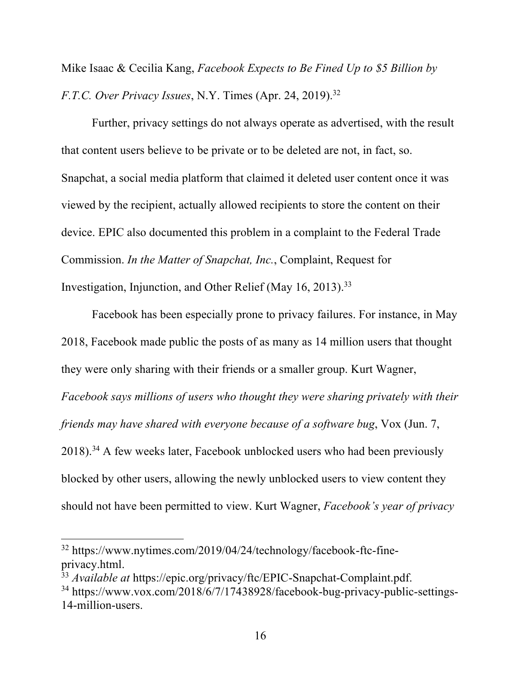Mike Isaac & Cecilia Kang, *Facebook Expects to Be Fined Up to \$5 Billion by F.T.C. Over Privacy Issues*, N.Y. Times (Apr. 24, 2019). 32

Further, privacy settings do not always operate as advertised, with the result that content users believe to be private or to be deleted are not, in fact, so. Snapchat, a social media platform that claimed it deleted user content once it was viewed by the recipient, actually allowed recipients to store the content on their device. EPIC also documented this problem in a complaint to the Federal Trade Commission. *In the Matter of Snapchat, Inc.*, Complaint, Request for Investigation, Injunction, and Other Relief (May 16, 2013). 33

Facebook has been especially prone to privacy failures. For instance, in May 2018, Facebook made public the posts of as many as 14 million users that thought they were only sharing with their friends or a smaller group. Kurt Wagner, *Facebook says millions of users who thought they were sharing privately with their friends may have shared with everyone because of a software bug*, Vox (Jun. 7, 2018).<sup>34</sup> A few weeks later, Facebook unblocked users who had been previously blocked by other users, allowing the newly unblocked users to view content they should not have been permitted to view. Kurt Wagner, *Facebook's year of privacy* 

<sup>&</sup>lt;sup>32</sup> https://www.nytimes.com/2019/04/24/technology/facebook-ftc-fineprivacy.html.

<sup>&</sup>lt;sup>33</sup> Available at https://epic.org/privacy/ftc/EPIC-Snapchat-Complaint.pdf. <sup>34</sup> https://www.vox.com/2018/6/7/17438928/facebook-bug-privacy-public-settings-14-million-users.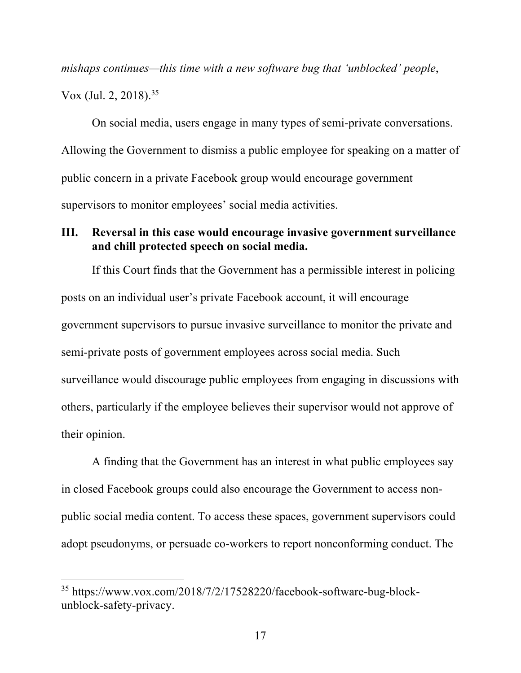*mishaps continues—this time with a new software bug that 'unblocked' people*, Vox (Jul. 2, 2018). 35

On social media, users engage in many types of semi-private conversations. Allowing the Government to dismiss a public employee for speaking on a matter of public concern in a private Facebook group would encourage government supervisors to monitor employees' social media activities.

### **III. Reversal in this case would encourage invasive government surveillance and chill protected speech on social media.**

If this Court finds that the Government has a permissible interest in policing posts on an individual user's private Facebook account, it will encourage government supervisors to pursue invasive surveillance to monitor the private and semi-private posts of government employees across social media. Such surveillance would discourage public employees from engaging in discussions with others, particularly if the employee believes their supervisor would not approve of their opinion.

A finding that the Government has an interest in what public employees say in closed Facebook groups could also encourage the Government to access nonpublic social media content. To access these spaces, government supervisors could adopt pseudonyms, or persuade co-workers to report nonconforming conduct. The

<sup>35</sup> https://www.vox.com/2018/7/2/17528220/facebook-software-bug-blockunblock-safety-privacy.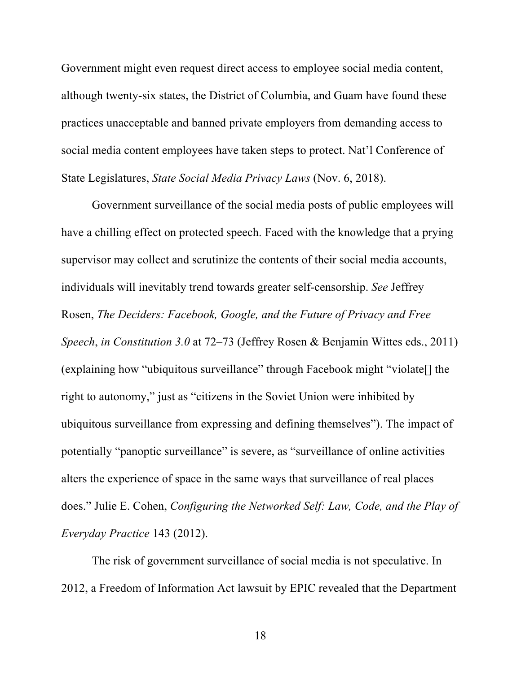Government might even request direct access to employee social media content, although twenty-six states, the District of Columbia, and Guam have found these practices unacceptable and banned private employers from demanding access to social media content employees have taken steps to protect. Nat'l Conference of State Legislatures, *State Social Media Privacy Laws* (Nov. 6, 2018).

Government surveillance of the social media posts of public employees will have a chilling effect on protected speech. Faced with the knowledge that a prying supervisor may collect and scrutinize the contents of their social media accounts, individuals will inevitably trend towards greater self-censorship. *See* Jeffrey Rosen, *The Deciders: Facebook, Google, and the Future of Privacy and Free Speech*, *in Constitution 3.0* at 72–73 (Jeffrey Rosen & Benjamin Wittes eds., 2011) (explaining how "ubiquitous surveillance" through Facebook might "violate[] the right to autonomy," just as "citizens in the Soviet Union were inhibited by ubiquitous surveillance from expressing and defining themselves"). The impact of potentially "panoptic surveillance" is severe, as "surveillance of online activities alters the experience of space in the same ways that surveillance of real places does." Julie E. Cohen, *Configuring the Networked Self: Law, Code, and the Play of Everyday Practice* 143 (2012).

The risk of government surveillance of social media is not speculative. In 2012, a Freedom of Information Act lawsuit by EPIC revealed that the Department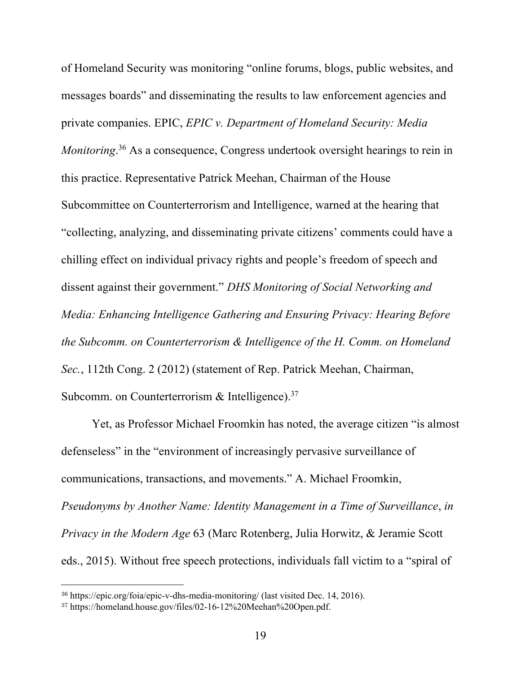of Homeland Security was monitoring "online forums, blogs, public websites, and messages boards" and disseminating the results to law enforcement agencies and private companies. EPIC, *EPIC v. Department of Homeland Security: Media Monitoring*.<sup>36</sup> As a consequence, Congress undertook oversight hearings to rein in this practice. Representative Patrick Meehan, Chairman of the House Subcommittee on Counterterrorism and Intelligence, warned at the hearing that "collecting, analyzing, and disseminating private citizens' comments could have a chilling effect on individual privacy rights and people's freedom of speech and dissent against their government." *DHS Monitoring of Social Networking and Media: Enhancing Intelligence Gathering and Ensuring Privacy: Hearing Before the Subcomm. on Counterterrorism & Intelligence of the H. Comm. on Homeland Sec.*, 112th Cong. 2 (2012) (statement of Rep. Patrick Meehan, Chairman, Subcomm. on Counterterrorism  $\&$  Intelligence).<sup>37</sup>

Yet, as Professor Michael Froomkin has noted, the average citizen "is almost defenseless" in the "environment of increasingly pervasive surveillance of communications, transactions, and movements." A. Michael Froomkin, *Pseudonyms by Another Name: Identity Management in a Time of Surveillance*, *in Privacy in the Modern Age* 63 (Marc Rotenberg, Julia Horwitz, & Jeramie Scott eds., 2015). Without free speech protections, individuals fall victim to a "spiral of

<sup>36</sup> https://epic.org/foia/epic-v-dhs-media-monitoring/ (last visited Dec. 14, 2016).

<sup>37</sup> https://homeland.house.gov/files/02-16-12%20Meehan%20Open.pdf.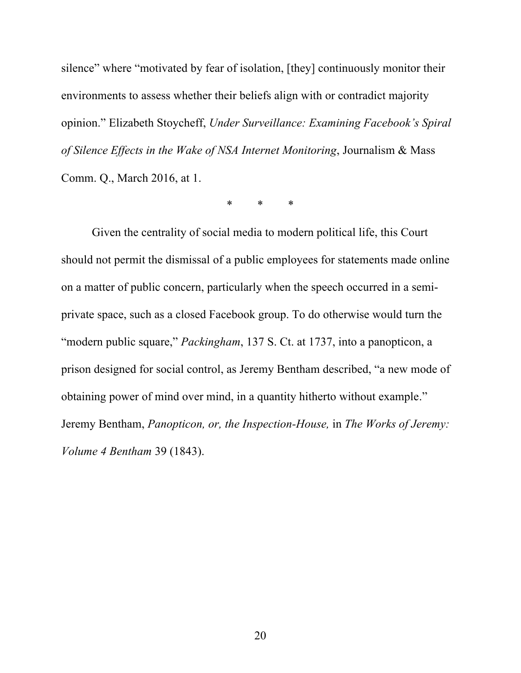silence" where "motivated by fear of isolation, [they] continuously monitor their environments to assess whether their beliefs align with or contradict majority opinion." Elizabeth Stoycheff, *Under Surveillance: Examining Facebook's Spiral of Silence Effects in the Wake of NSA Internet Monitoring*, Journalism & Mass Comm. Q., March 2016, at 1.

\* \* \*

Given the centrality of social media to modern political life, this Court should not permit the dismissal of a public employees for statements made online on a matter of public concern, particularly when the speech occurred in a semiprivate space, such as a closed Facebook group. To do otherwise would turn the "modern public square," *Packingham*, 137 S. Ct. at 1737, into a panopticon, a prison designed for social control, as Jeremy Bentham described, "a new mode of obtaining power of mind over mind, in a quantity hitherto without example." Jeremy Bentham, *Panopticon, or, the Inspection-House,* in *The Works of Jeremy: Volume 4 Bentham* 39 (1843).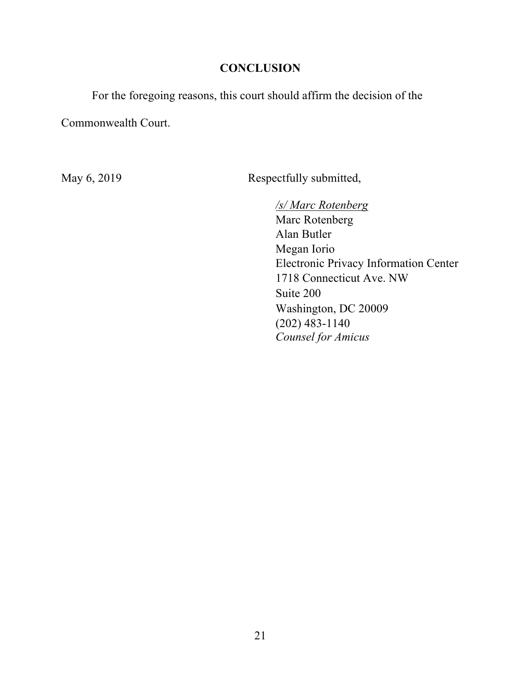### **CONCLUSION**

For the foregoing reasons, this court should affirm the decision of the

Commonwealth Court.

May 6, 2019 Respectfully submitted,

*/s/ Marc Rotenberg*  Marc Rotenberg Alan Butler Megan Iorio Electronic Privacy Information Center 1718 Connecticut Ave. NW Suite 200 Washington, DC 20009 (202) 483-1140 *Counsel for Amicus*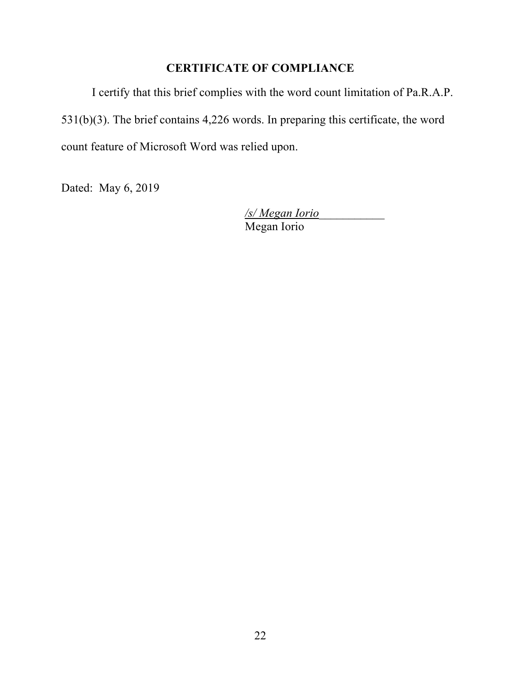## **CERTIFICATE OF COMPLIANCE**

I certify that this brief complies with the word count limitation of Pa.R.A.P. 531(b)(3). The brief contains 4,226 words. In preparing this certificate, the word count feature of Microsoft Word was relied upon.

Dated: May 6, 2019

*/s/ Megan Iorio*\_\_\_\_\_\_\_\_\_\_\_ Megan Iorio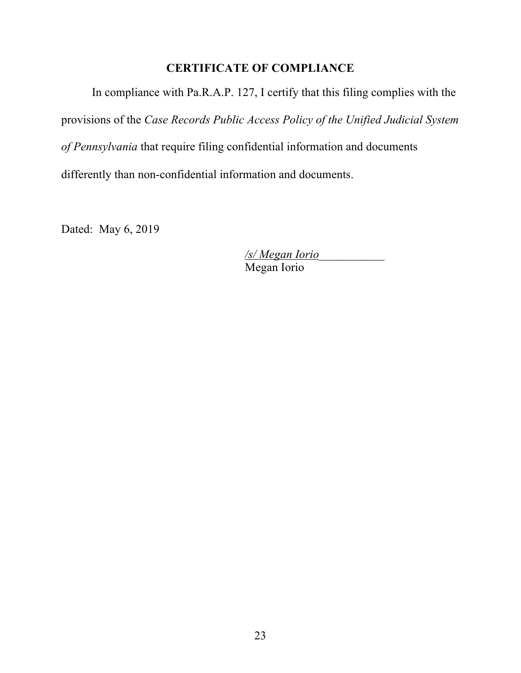## **CERTIFICATE OF COMPLIANCE**

In compliance with Pa.R.A.P. 127, I certify that this filing complies with the provisions of the *Case Records Public Access Policy of the Unified Judicial System of Pennsylvania* that require filing confidential information and documents differently than non-confidential information and documents.

Dated: May 6, 2019

*/s/ Megan Iorio*\_\_\_\_\_\_\_\_\_\_\_ Megan Iorio